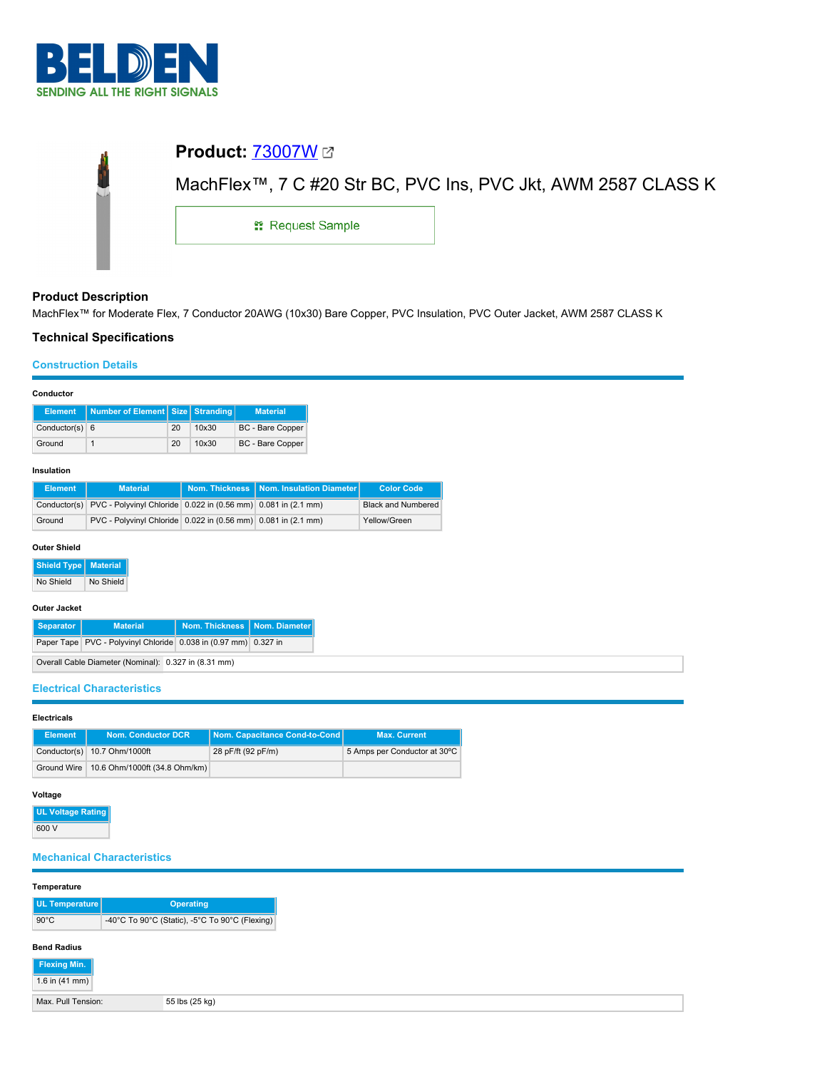

|                         | MachFlex <sup>™</sup> , 7 C #20 Str BC, PVC Ins, PVC Jkt, AWM 2587 CLASS K |  |  |
|-------------------------|----------------------------------------------------------------------------|--|--|
| <b>: Request Sample</b> |                                                                            |  |  |
|                         |                                                                            |  |  |

# **Product Description**

MachFlex™ for Moderate Flex, 7 Conductor 20AWG (10x30) Bare Copper, PVC Insulation, PVC Outer Jacket, AWM 2587 CLASS K

# **Technical Specifications**

## **Construction Details**

## **Conductor**

| Element          | Number of Element   Size   Stranding |    |       | <b>Material</b>         |
|------------------|--------------------------------------|----|-------|-------------------------|
| Conductor(s) $6$ |                                      | 20 | 10x30 | <b>BC</b> - Bare Copper |
| Ground           |                                      | 20 | 10x30 | <b>BC</b> - Bare Copper |

#### **Insulation**

| Element | <b>Material</b>                                                            | Nom. Thickness   Nom. Insulation Diameter | <b>Color Code</b>         |
|---------|----------------------------------------------------------------------------|-------------------------------------------|---------------------------|
|         | Conductor(s) PVC - Polyvinyl Chloride 0.022 in (0.56 mm) 0.081 in (2.1 mm) |                                           | <b>Black and Numbered</b> |
| Ground  | PVC - Polyvinyl Chloride 0.022 in (0.56 mm) 0.081 in (2.1 mm)              |                                           | Yellow/Green              |

#### **Outer Shield**

**Shield Type Material**

No Shield No Shield

### **Outer Jacket**

| Separator                                            | <b>Material</b>                                                 | Nom. Thickness   Nom. Diameter |  |  |
|------------------------------------------------------|-----------------------------------------------------------------|--------------------------------|--|--|
|                                                      | Paper Tape PVC - Polyvinyl Chloride 0.038 in (0.97 mm) 0.327 in |                                |  |  |
| Overall Cable Diameter (Nominal): 0.327 in (8.31 mm) |                                                                 |                                |  |  |

## **Electrical Characteristics**

#### **Electricals**

| <b>Element</b> | <b>Nom. Conductor DCR</b>                   | Nom. Capacitance Cond-to-Cond | <b>Max. Current</b>          |
|----------------|---------------------------------------------|-------------------------------|------------------------------|
|                | Conductor(s) 10.7 Ohm/1000ft                | 28 pF/ft (92 pF/m)            | 5 Amps per Conductor at 30°C |
|                | Ground Wire   10.6 Ohm/1000ft (34.8 Ohm/km) |                               |                              |

# **Voltage**

**UL Voltage Rating** 600 V

# **Mechanical Characteristics**

# **Temperature**

| UL Temperature     | <b>Operating</b><br>-40°C To 90°C (Static), -5°C To 90°C (Flexing) |  |  |  |
|--------------------|--------------------------------------------------------------------|--|--|--|
| $90^{\circ}$ C     |                                                                    |  |  |  |
| <b>Bend Radius</b> |                                                                    |  |  |  |

| Flexing Min.       |                |
|--------------------|----------------|
| 1.6 in $(41$ mm)   |                |
| Max. Pull Tension: | 55 lbs (25 kg) |